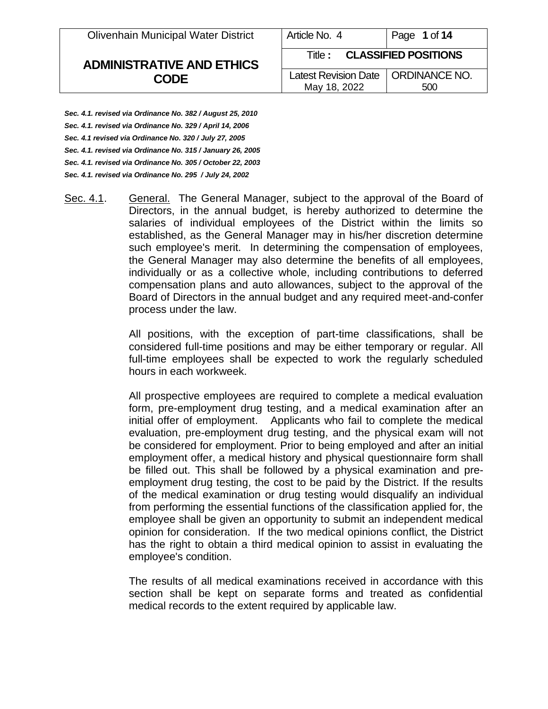Olivenhain Municipal Water District

# **ADMINISTRATIVE AND ETHICS CODE**

| Title: CLASSIFIED POSITIONS          |     |
|--------------------------------------|-----|
| Latest Revision Date   ORDINANCE NO. |     |
| May 18, 2022                         | 500 |

*Sec. 4.1. revised via Ordinance No. 382 / August 25, 2010 Sec. 4.1. revised via Ordinance No. 329 / April 14, 2006 Sec. 4.1 revised via Ordinance No. 320 / July 27, 2005 Sec. 4.1. revised via Ordinance No. 315 / January 26, 2005 Sec. 4.1. revised via Ordinance No. 305 / October 22, 2003 Sec. 4.1. revised via Ordinance No. 295 / July 24, 2002*

Sec. 4.1. General. The General Manager, subject to the approval of the Board of Directors, in the annual budget, is hereby authorized to determine the salaries of individual employees of the District within the limits so established, as the General Manager may in his/her discretion determine such employee's merit. In determining the compensation of employees, the General Manager may also determine the benefits of all employees, individually or as a collective whole, including contributions to deferred compensation plans and auto allowances, subject to the approval of the Board of Directors in the annual budget and any required meet-and-confer process under the law.

> All positions, with the exception of part-time classifications, shall be considered full-time positions and may be either temporary or regular. All full-time employees shall be expected to work the regularly scheduled hours in each workweek.

> All prospective employees are required to complete a medical evaluation form, pre-employment drug testing, and a medical examination after an initial offer of employment. Applicants who fail to complete the medical evaluation, pre-employment drug testing, and the physical exam will not be considered for employment. Prior to being employed and after an initial employment offer, a medical history and physical questionnaire form shall be filled out. This shall be followed by a physical examination and preemployment drug testing, the cost to be paid by the District. If the results of the medical examination or drug testing would disqualify an individual from performing the essential functions of the classification applied for, the employee shall be given an opportunity to submit an independent medical opinion for consideration. If the two medical opinions conflict, the District has the right to obtain a third medical opinion to assist in evaluating the employee's condition.

> The results of all medical examinations received in accordance with this section shall be kept on separate forms and treated as confidential medical records to the extent required by applicable law.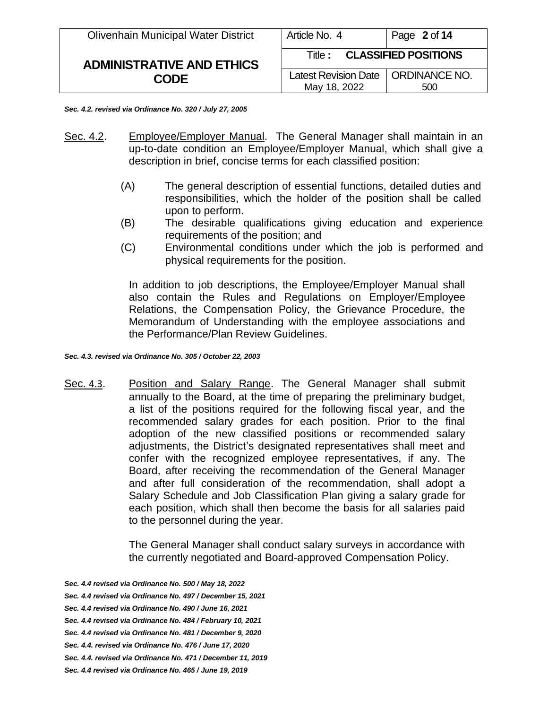| <b>Olivenhain Municipal Water District</b> | Article No. 4                                        | Page 2 of 14 |
|--------------------------------------------|------------------------------------------------------|--------------|
| <b>ADMINISTRATIVE AND ETHICS</b>           | <b>CLASSIFIED POSITIONS</b><br>Title :               |              |
| <b>CODE</b>                                | Latest Revision Date   ORDINANCE NO.<br>May 18, 2022 | 500          |

*Sec. 4.2. revised via Ordinance No. 320 / July 27, 2005*

- Sec. 4.2. Employee/Employer Manual. The General Manager shall maintain in an up-to-date condition an Employee/Employer Manual, which shall give a description in brief, concise terms for each classified position:
	- (A) The general description of essential functions, detailed duties and responsibilities, which the holder of the position shall be called upon to perform.
	- (B) The desirable qualifications giving education and experience requirements of the position; and
	- (C) Environmental conditions under which the job is performed and physical requirements for the position.

In addition to job descriptions, the Employee/Employer Manual shall also contain the Rules and Regulations on Employer/Employee Relations, the Compensation Policy, the Grievance Procedure, the Memorandum of Understanding with the employee associations and the Performance/Plan Review Guidelines.

*Sec. 4.3. revised via Ordinance No. 305 / October 22, 2003*

Sec. 4.3. Position and Salary Range. The General Manager shall submit annually to the Board, at the time of preparing the preliminary budget, a list of the positions required for the following fiscal year, and the recommended salary grades for each position. Prior to the final adoption of the new classified positions or recommended salary adjustments, the District's designated representatives shall meet and confer with the recognized employee representatives, if any. The Board, after receiving the recommendation of the General Manager and after full consideration of the recommendation, shall adopt a Salary Schedule and Job Classification Plan giving a salary grade for each position, which shall then become the basis for all salaries paid to the personnel during the year.

> The General Manager shall conduct salary surveys in accordance with the currently negotiated and Board-approved Compensation Policy.

*Sec. 4.4 revised via Ordinance No. 500 / May 18, 2022*

*Sec. 4.4 revised via Ordinance No. 481 / December 9, 2020*

- *Sec. 4.4. revised via Ordinance No. 471 / December 11, 2019*
- *Sec. 4.4 revised via Ordinance No. 465 / June 19, 2019*

*Sec. 4.4 revised via Ordinance No. 497 / December 15, 2021*

*Sec. 4.4 revised via Ordinance No. 490 / June 16, 2021*

*Sec. 4.4 revised via Ordinance No. 484 / February 10, 2021*

*Sec. 4.4. revised via Ordinance No. 476 / June 17, 2020*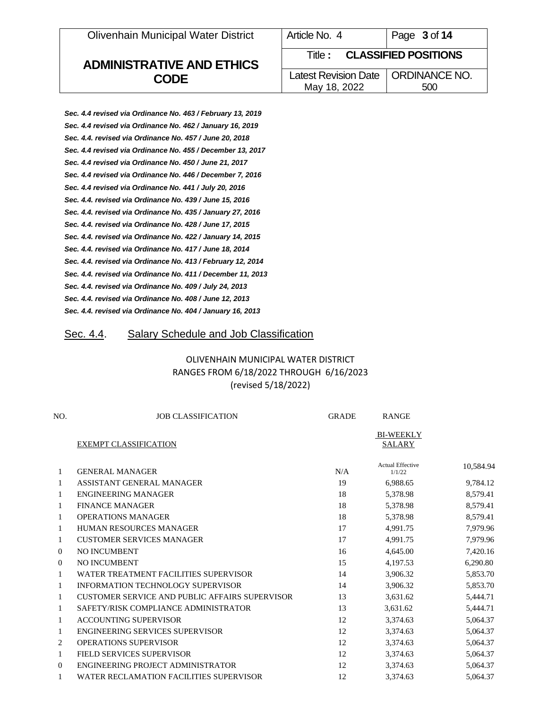Olivenhain Municipal Water District

# **ADMINISTRATIVE AND ETHICS CODE**

| Article No. 4                                        | Page 3 of 14 |
|------------------------------------------------------|--------------|
| <b>Title: CLASSIFIED POSITIONS</b>                   |              |
| Latest Revision Date   ORDINANCE NO.<br>May 18, 2022 | 500          |
|                                                      |              |

| Sec. 4.4 revised via Ordinance No. 463 / February 13, 2019  |
|-------------------------------------------------------------|
| Sec. 4.4 revised via Ordinance No. 462 / January 16, 2019   |
| Sec. 4.4. revised via Ordinance No. 457 / June 20, 2018     |
| Sec. 4.4 revised via Ordinance No. 455 / December 13, 2017  |
| Sec. 4.4 revised via Ordinance No. 450 / June 21, 2017      |
| Sec. 4.4 revised via Ordinance No. 446 / December 7, 2016   |
| Sec. 4.4 revised via Ordinance No. 441 / July 20, 2016      |
| Sec. 4.4. revised via Ordinance No. 439 / June 15, 2016     |
| Sec. 4.4. revised via Ordinance No. 435 / January 27, 2016  |
| Sec. 4.4. revised via Ordinance No. 428 / June 17, 2015     |
| Sec. 4.4. revised via Ordinance No. 422 / January 14, 2015  |
| Sec. 4.4. revised via Ordinance No. 417 / June 18, 2014     |
| Sec. 4.4. revised via Ordinance No. 413 / February 12, 2014 |
| Sec. 4.4. revised via Ordinance No. 411 / December 11, 2013 |
| Sec. 4.4. revised via Ordinance No. 409 / July 24, 2013     |
| Sec. 4.4. revised via Ordinance No. 408 / June 12, 2013     |
| Sec. 4.4. revised via Ordinance No. 404 / January 16, 2013  |
|                                                             |

## Sec. 4.4. Salary Schedule and Job Classification

## OLIVENHAIN MUNICIPAL WATER DISTRICT RANGES FROM 6/18/2022 THROUGH 6/16/2023 (revised 5/18/2022)

| NO.          | <b>JOB CLASSIFICATION</b>                      | <b>GRADE</b> | <b>RANGE</b>                      |           |
|--------------|------------------------------------------------|--------------|-----------------------------------|-----------|
|              | <b>EXEMPT CLASSIFICATION</b>                   |              | <b>BI-WEEKLY</b><br><b>SALARY</b> |           |
| 1            | <b>GENERAL MANAGER</b>                         | N/A          | <b>Actual Effective</b><br>1/1/22 | 10,584.94 |
| 1            | ASSISTANT GENERAL MANAGER                      | 19           | 6,988.65                          | 9,784.12  |
| $\mathbf{1}$ | ENGINEERING MANAGER                            | 18           | 5,378.98                          | 8,579.41  |
| 1            | <b>FINANCE MANAGER</b>                         | 18           | 5,378.98                          | 8,579.41  |
| 1            | <b>OPERATIONS MANAGER</b>                      | 18           | 5,378.98                          | 8,579.41  |
| 1            | <b>HUMAN RESOURCES MANAGER</b>                 | 17           | 4,991.75                          | 7,979.96  |
| 1            | <b>CUSTOMER SERVICES MANAGER</b>               | 17           | 4,991.75                          | 7,979.96  |
| $\Omega$     | NO INCUMBENT                                   | 16           | 4,645.00                          | 7,420.16  |
| $\Omega$     | <b>NO INCUMBENT</b>                            | 15           | 4,197.53                          | 6,290.80  |
| $\mathbf{1}$ | WATER TREATMENT FACILITIES SUPERVISOR          | 14           | 3,906.32                          | 5,853.70  |
| 1            | <b>INFORMATION TECHNOLOGY SUPERVISOR</b>       | 14           | 3,906.32                          | 5,853.70  |
| 1            | CUSTOMER SERVICE AND PUBLIC AFFAIRS SUPERVISOR | 13           | 3,631.62                          | 5,444.71  |
| 1            | SAFETY/RISK COMPLIANCE ADMINISTRATOR           | 13           | 3,631.62                          | 5,444.71  |
| $\mathbf{1}$ | <b>ACCOUNTING SUPERVISOR</b>                   | 12           | 3,374.63                          | 5,064.37  |
| 1            | ENGINEERING SERVICES SUPERVISOR                | 12           | 3,374.63                          | 5,064.37  |
| 2            | <b>OPERATIONS SUPERVISOR</b>                   | 12           | 3,374.63                          | 5,064.37  |
| 1            | FIELD SERVICES SUPERVISOR                      | 12           | 3,374.63                          | 5,064.37  |
| 0            | ENGINEERING PROJECT ADMINISTRATOR              | 12           | 3,374.63                          | 5,064.37  |
|              | WATER RECLAMATION FACILITIES SUPERVISOR        | 12           | 3,374.63                          | 5,064.37  |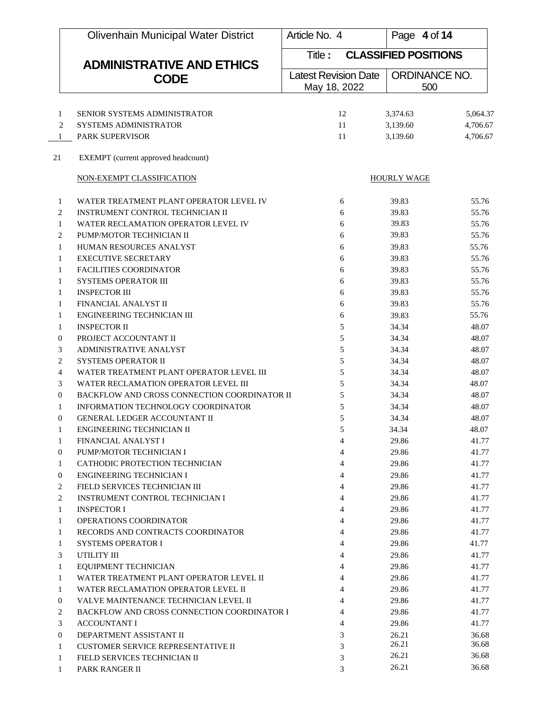|    | <b>Olivenhain Municipal Water District</b>                                | Article No. 4                               | Page 4 of 14         |                |
|----|---------------------------------------------------------------------------|---------------------------------------------|----------------------|----------------|
|    | <b>ADMINISTRATIVE AND ETHICS</b>                                          | <b>CLASSIFIED POSITIONS</b><br>Title :      |                      |                |
|    | <b>CODE</b>                                                               | <b>Latest Revision Date</b><br>May 18, 2022 | ORDINANCE NO.<br>500 |                |
|    |                                                                           |                                             |                      |                |
|    | SENIOR SYSTEMS ADMINISTRATOR<br>1                                         | 12                                          | 3,374.63             | 5,064.37       |
|    | 2<br><b>SYSTEMS ADMINISTRATOR</b>                                         | 11                                          | 3,139.60             | 4,706.67       |
|    | <b>PARK SUPERVISOR</b><br>$\mathbf{1}$                                    | 11                                          | 3,139.60             | 4,706.67       |
| 21 | EXEMPT (current approved headcount)                                       |                                             |                      |                |
|    | NON-EXEMPT CLASSIFICATION                                                 |                                             | <b>HOURLY WAGE</b>   |                |
|    | WATER TREATMENT PLANT OPERATOR LEVEL IV<br>1                              | 6                                           | 39.83                | 55.76          |
|    | 2<br>INSTRUMENT CONTROL TECHNICIAN II                                     | 6                                           | 39.83                | 55.76          |
|    | WATER RECLAMATION OPERATOR LEVEL IV<br>1                                  | 6                                           | 39.83                | 55.76          |
|    | PUMP/MOTOR TECHNICIAN II<br>2                                             | 6                                           | 39.83                | 55.76          |
|    | HUMAN RESOURCES ANALYST<br>1                                              | 6                                           | 39.83                | 55.76          |
|    | <b>EXECUTIVE SECRETARY</b><br>$\mathbf{1}$                                | 6                                           | 39.83                | 55.76          |
|    | <b>FACILITIES COORDINATOR</b><br>1                                        | 6                                           | 39.83                | 55.76          |
|    | SYSTEMS OPERATOR III<br>1                                                 | 6                                           | 39.83                | 55.76          |
|    | <b>INSPECTOR III</b><br>1                                                 | 6                                           | 39.83                | 55.76          |
|    | FINANCIAL ANALYST II<br>1                                                 | 6                                           | 39.83                | 55.76          |
|    | ENGINEERING TECHNICIAN III<br>1                                           | 6                                           | 39.83                | 55.76          |
|    | <b>INSPECTOR II</b><br>1                                                  | 5                                           | 34.34                | 48.07          |
|    | PROJECT ACCOUNTANT II<br>$\mathbf{0}$                                     | 5                                           | 34.34                | 48.07          |
|    | 3<br><b>ADMINISTRATIVE ANALYST</b>                                        | 5                                           | 34.34                | 48.07          |
|    | $\overline{c}$<br><b>SYSTEMS OPERATOR II</b>                              | 5                                           | 34.34                | 48.07          |
|    | $\overline{4}$<br>WATER TREATMENT PLANT OPERATOR LEVEL III                | 5                                           | 34.34                | 48.07          |
|    | 3<br>WATER RECLAMATION OPERATOR LEVEL III                                 | 5                                           | 34.34                | 48.07          |
|    | BACKFLOW AND CROSS CONNECTION COORDINATOR II<br>$\boldsymbol{0}$          | 5                                           | 34.34                | 48.07          |
|    | INFORMATION TECHNOLOGY COORDINATOR<br>1                                   | 5                                           | 34.34                | 48.07          |
|    | GENERAL LEDGER ACCOUNTANT II<br>$\theta$                                  | 5                                           | 34.34                | 48.07          |
|    | ENGINEERING TECHNICIAN II<br>Т.                                           | 5                                           | 34.34                | 48.07          |
|    | FINANCIAL ANALYST I<br>1                                                  | 4                                           | 29.86<br>29.86       | 41.77          |
|    | $\mathbf{0}$<br>PUMP/MOTOR TECHNICIAN I<br>CATHODIC PROTECTION TECHNICIAN | 4                                           |                      | 41.77          |
|    | 1<br>$\mathbf{0}$<br>ENGINEERING TECHNICIAN I                             | 4                                           | 29.86                | 41.77<br>41.77 |
|    | FIELD SERVICES TECHNICIAN III<br>2                                        | 4<br>4                                      | 29.86<br>29.86       | 41.77          |
|    | 2<br><b>INSTRUMENT CONTROL TECHNICIAN I</b>                               | 4                                           | 29.86                | 41.77          |
|    | <b>INSPECTOR I</b><br>$\mathbf{1}$                                        | 4                                           | 29.86                | 41.77          |
|    | OPERATIONS COORDINATOR<br>1                                               | 4                                           | 29.86                | 41.77          |
|    | RECORDS AND CONTRACTS COORDINATOR<br>1                                    | 4                                           | 29.86                | 41.77          |
|    | <b>SYSTEMS OPERATOR I</b><br>$\mathbf{1}$                                 | 4                                           | 29.86                | 41.77          |
|    | UTILITY III<br>3                                                          | 4                                           | 29.86                | 41.77          |
|    | EQUIPMENT TECHNICIAN<br>$\mathbf{1}$                                      | 4                                           | 29.86                | 41.77          |
|    | WATER TREATMENT PLANT OPERATOR LEVEL II<br>1                              | 4                                           | 29.86                | 41.77          |
|    | 1<br>WATER RECLAMATION OPERATOR LEVEL II                                  | 4                                           | 29.86                | 41.77          |
|    | VALVE MAINTENANCE TECHNICIAN LEVEL II<br>$\mathbf{0}$                     | 4                                           | 29.86                | 41.77          |
|    | 2<br>BACKFLOW AND CROSS CONNECTION COORDINATOR I                          | 4                                           | 29.86                | 41.77          |
|    | 3<br><b>ACCOUNTANT I</b>                                                  | 4                                           | 29.86                | 41.77          |
|    | $\mathbf{0}$<br>DEPARTMENT ASSISTANT II                                   | 3                                           | 26.21                | 36.68          |
|    | <b>CUSTOMER SERVICE REPRESENTATIVE II</b><br>1                            | 3                                           | 26.21                | 36.68          |
|    | FIELD SERVICES TECHNICIAN II<br>1                                         | 3                                           | 26.21                | 36.68          |
|    | PARK RANGER II<br>1                                                       | 3                                           | 26.21                | 36.68          |
|    |                                                                           |                                             |                      |                |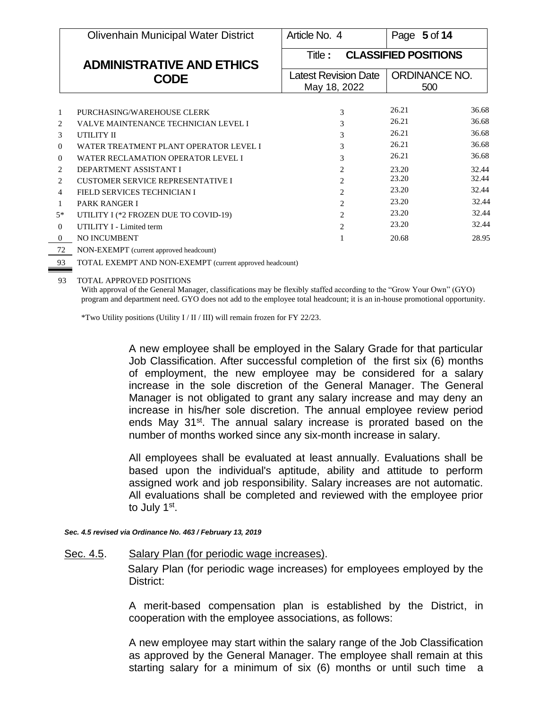|                | <b>Olivenhain Municipal Water District</b>                         | Article No. 4                          | Page 5 of 14         |  |
|----------------|--------------------------------------------------------------------|----------------------------------------|----------------------|--|
|                | <b>ADMINISTRATIVE AND ETHICS</b><br><b>CODE</b>                    | <b>CLASSIFIED POSITIONS</b><br>Title : |                      |  |
|                |                                                                    | <b>Latest Revision Date</b>            | <b>ORDINANCE NO.</b> |  |
|                |                                                                    | May 18, 2022                           | 500                  |  |
|                |                                                                    |                                        | 26.21<br>36.68       |  |
| 1<br>2         | PURCHASING/WAREHOUSE CLERK<br>VALVE MAINTENANCE TECHNICIAN LEVEL I | 3<br>3                                 | 26.21<br>36.68       |  |
| $\mathcal{F}$  | UTILITY II                                                         | 3                                      | 26.21<br>36.68       |  |
| $\Omega$       | WATER TREATMENT PLANT OPERATOR LEVEL I                             | 3                                      | 26.21<br>36.68       |  |
| $\theta$       | WATER RECLAMATION OPERATOR LEVEL I                                 | 3                                      | 36.68<br>26.21       |  |
| 2              | DEPARTMENT ASSISTANT I                                             | 2                                      | 23.20<br>32.44       |  |
| $\overline{2}$ | <b>CUSTOMER SERVICE REPRESENTATIVE I</b>                           | $\mathfrak{D}$                         | 32.44<br>23.20       |  |
| $\overline{4}$ | FIELD SERVICES TECHNICIAN I                                        | 2                                      | 23.20<br>32.44       |  |
| $\mathbf{1}$   | <b>PARK RANGER I</b>                                               | 2                                      | 23.20<br>32.44       |  |
| $5*$           | UTILITY I (*2 FROZEN DUE TO COVID-19)                              | $\overline{c}$                         | 23.20<br>32.44       |  |
| $\theta$       | <b>UTILITY I - Limited term</b>                                    | $\mathfrak{D}$                         | 23.20<br>32.44       |  |
| $\Omega$       | NO INCUMBENT                                                       |                                        | 28.95<br>20.68       |  |
|                | $\cdots$                                                           |                                        |                      |  |

72 NON-EXEMPT (current approved headcount)

93 TOTAL EXEMPT AND NON-EXEMPT (current approved headcount)

93 TOTAL APPROVED POSITIONS

With approval of the General Manager, classifications may be flexibly staffed according to the "Grow Your Own" (GYO) program and department need. GYO does not add to the employee total headcount; it is an in-house promotional opportunity.

\*Two Utility positions (Utility I / II / III) will remain frozen for FY 22/23.

A new employee shall be employed in the Salary Grade for that particular Job Classification. After successful completion of the first six (6) months of employment, the new employee may be considered for a salary increase in the sole discretion of the General Manager. The General Manager is not obligated to grant any salary increase and may deny an increase in his/her sole discretion. The annual employee review period ends May 31<sup>st</sup>. The annual salary increase is prorated based on the number of months worked since any six-month increase in salary.

All employees shall be evaluated at least annually. Evaluations shall be based upon the individual's aptitude, ability and attitude to perform assigned work and job responsibility. Salary increases are not automatic. All evaluations shall be completed and reviewed with the employee prior to July 1<sup>st</sup>.

*Sec. 4.5 revised via Ordinance No. 463 / February 13, 2019*

#### Sec. 4.5. Salary Plan (for periodic wage increases).

Salary Plan (for periodic wage increases) for employees employed by the District:

A merit-based compensation plan is established by the District, in cooperation with the employee associations, as follows:

A new employee may start within the salary range of the Job Classification as approved by the General Manager. The employee shall remain at this starting salary for a minimum of six (6) months or until such time a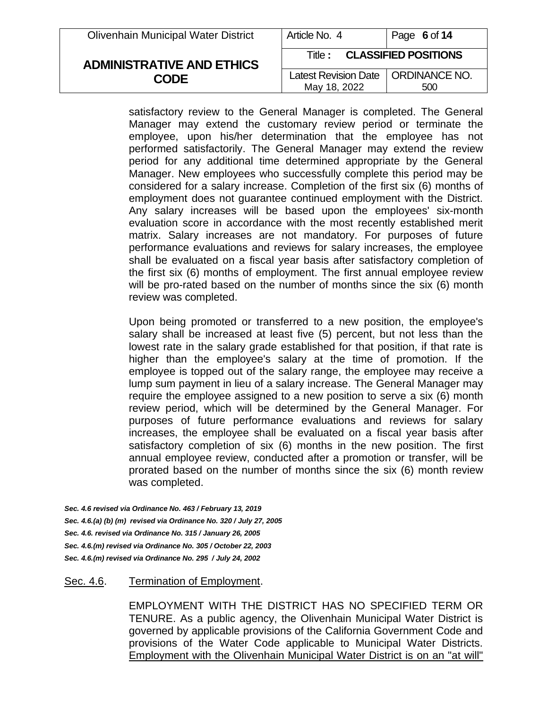| <b>Olivenhain Municipal Water District</b> | Article No. 4                                        | Page 6 of 14 |
|--------------------------------------------|------------------------------------------------------|--------------|
| <b>ADMINISTRATIVE AND ETHICS</b>           | <b>CLASSIFIED POSITIONS</b><br>Title : .             |              |
| <b>CODE</b>                                | Latest Revision Date   ORDINANCE NO.<br>May 18, 2022 | 500          |

satisfactory review to the General Manager is completed. The General Manager may extend the customary review period or terminate the employee, upon his/her determination that the employee has not performed satisfactorily. The General Manager may extend the review period for any additional time determined appropriate by the General Manager. New employees who successfully complete this period may be considered for a salary increase. Completion of the first six (6) months of employment does not guarantee continued employment with the District. Any salary increases will be based upon the employees' six-month evaluation score in accordance with the most recently established merit matrix. Salary increases are not mandatory. For purposes of future performance evaluations and reviews for salary increases, the employee shall be evaluated on a fiscal year basis after satisfactory completion of the first six (6) months of employment. The first annual employee review will be pro-rated based on the number of months since the six (6) month review was completed.

Upon being promoted or transferred to a new position, the employee's salary shall be increased at least five (5) percent, but not less than the lowest rate in the salary grade established for that position, if that rate is higher than the employee's salary at the time of promotion. If the employee is topped out of the salary range, the employee may receive a lump sum payment in lieu of a salary increase. The General Manager may require the employee assigned to a new position to serve a six (6) month review period, which will be determined by the General Manager. For purposes of future performance evaluations and reviews for salary increases, the employee shall be evaluated on a fiscal year basis after satisfactory completion of six (6) months in the new position. The first annual employee review, conducted after a promotion or transfer, will be prorated based on the number of months since the six (6) month review was completed.

*Sec. 4.6 revised via Ordinance No. 463 / February 13, 2019 Sec. 4.6.(a) (b) (m) revised via Ordinance No. 320 / July 27, 2005 Sec. 4.6. revised via Ordinance No. 315 / January 26, 2005 Sec. 4.6.(m) revised via Ordinance No. 305 / October 22, 2003 Sec. 4.6.(m) revised via Ordinance No. 295 / July 24, 2002*

### Sec. 4.6. Termination of Employment.

EMPLOYMENT WITH THE DISTRICT HAS NO SPECIFIED TERM OR TENURE. As a public agency, the Olivenhain Municipal Water District is governed by applicable provisions of the California Government Code and provisions of the Water Code applicable to Municipal Water Districts. Employment with the Olivenhain Municipal Water District is on an "at will"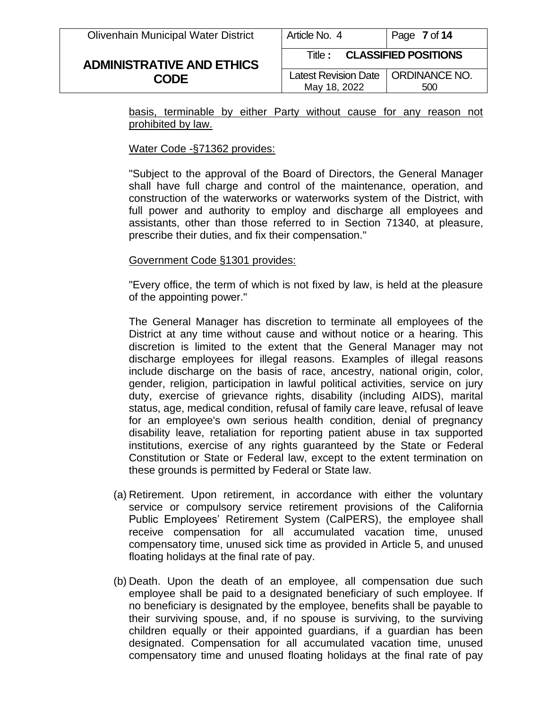# **ADMINISTRATIVE AND ETHICS CODE**

| MUUUUU. 4                            | Faye / UI 14 |
|--------------------------------------|--------------|
| <b>Title: CLASSIFIED POSITIONS</b>   |              |
| Latest Revision Date   ORDINANCE NO. |              |
| May 18, 2022                         | 500          |

basis, terminable by either Party without cause for any reason not prohibited by law.

### Water Code -§71362 provides:

"Subject to the approval of the Board of Directors, the General Manager shall have full charge and control of the maintenance, operation, and construction of the waterworks or waterworks system of the District, with full power and authority to employ and discharge all employees and assistants, other than those referred to in Section 71340, at pleasure, prescribe their duties, and fix their compensation."

## Government Code §1301 provides:

"Every office, the term of which is not fixed by law, is held at the pleasure of the appointing power."

The General Manager has discretion to terminate all employees of the District at any time without cause and without notice or a hearing. This discretion is limited to the extent that the General Manager may not discharge employees for illegal reasons. Examples of illegal reasons include discharge on the basis of race, ancestry, national origin, color, gender, religion, participation in lawful political activities, service on jury duty, exercise of grievance rights, disability (including AIDS), marital status, age, medical condition, refusal of family care leave, refusal of leave for an employee's own serious health condition, denial of pregnancy disability leave, retaliation for reporting patient abuse in tax supported institutions, exercise of any rights guaranteed by the State or Federal Constitution or State or Federal law, except to the extent termination on these grounds is permitted by Federal or State law.

- (a) Retirement. Upon retirement, in accordance with either the voluntary service or compulsory service retirement provisions of the California Public Employees' Retirement System (CalPERS), the employee shall receive compensation for all accumulated vacation time, unused compensatory time, unused sick time as provided in Article 5, and unused floating holidays at the final rate of pay.
- (b) Death. Upon the death of an employee, all compensation due such employee shall be paid to a designated beneficiary of such employee. If no beneficiary is designated by the employee, benefits shall be payable to their surviving spouse, and, if no spouse is surviving, to the surviving children equally or their appointed guardians, if a guardian has been designated. Compensation for all accumulated vacation time, unused compensatory time and unused floating holidays at the final rate of pay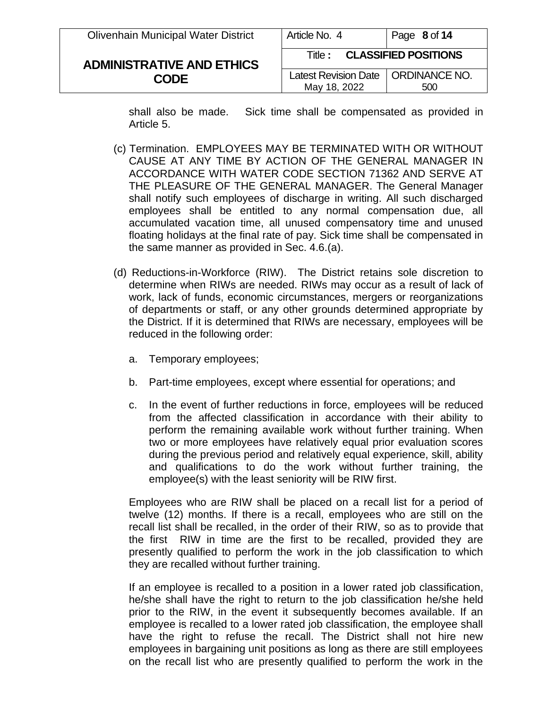| <b>Olivenhain Municipal Water District</b> | Article No. 4                                        | Page 8 of 14 |
|--------------------------------------------|------------------------------------------------------|--------------|
| <b>ADMINISTRATIVE AND ETHICS</b>           | <b>CLASSIFIED POSITIONS</b><br>Title : ·             |              |
| <b>CODE</b>                                | Latest Revision Date   ORDINANCE NO.<br>May 18, 2022 | 500          |

shall also be made. Sick time shall be compensated as provided in Article 5.

- (c) Termination. EMPLOYEES MAY BE TERMINATED WITH OR WITHOUT CAUSE AT ANY TIME BY ACTION OF THE GENERAL MANAGER IN ACCORDANCE WITH WATER CODE SECTION 71362 AND SERVE AT THE PLEASURE OF THE GENERAL MANAGER. The General Manager shall notify such employees of discharge in writing. All such discharged employees shall be entitled to any normal compensation due, all accumulated vacation time, all unused compensatory time and unused floating holidays at the final rate of pay. Sick time shall be compensated in the same manner as provided in Sec. 4.6.(a).
- (d) Reductions-in-Workforce (RIW). The District retains sole discretion to determine when RIWs are needed. RIWs may occur as a result of lack of work, lack of funds, economic circumstances, mergers or reorganizations of departments or staff, or any other grounds determined appropriate by the District. If it is determined that RIWs are necessary, employees will be reduced in the following order:
	- a. Temporary employees;
	- b. Part-time employees, except where essential for operations; and
	- c. In the event of further reductions in force, employees will be reduced from the affected classification in accordance with their ability to perform the remaining available work without further training. When two or more employees have relatively equal prior evaluation scores during the previous period and relatively equal experience, skill, ability and qualifications to do the work without further training, the employee(s) with the least seniority will be RIW first.

Employees who are RIW shall be placed on a recall list for a period of twelve (12) months. If there is a recall, employees who are still on the recall list shall be recalled, in the order of their RIW, so as to provide that the first RIW in time are the first to be recalled, provided they are presently qualified to perform the work in the job classification to which they are recalled without further training.

If an employee is recalled to a position in a lower rated job classification, he/she shall have the right to return to the job classification he/she held prior to the RIW, in the event it subsequently becomes available. If an employee is recalled to a lower rated job classification, the employee shall have the right to refuse the recall. The District shall not hire new employees in bargaining unit positions as long as there are still employees on the recall list who are presently qualified to perform the work in the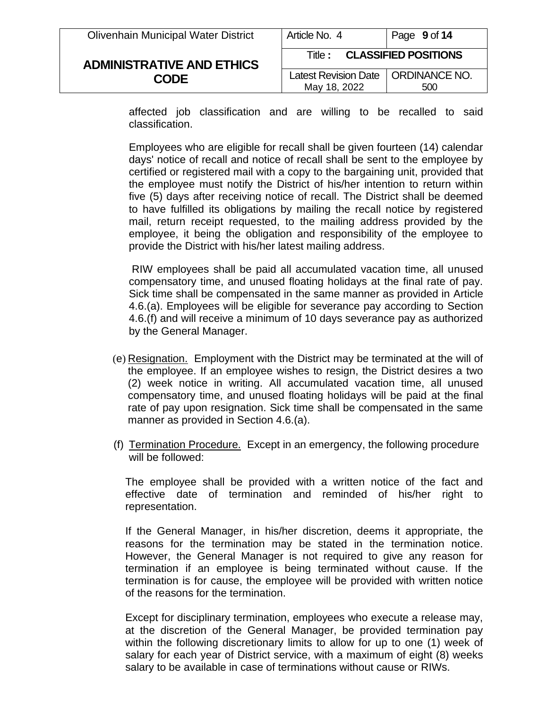| <b>Olivenhain Municipal Water District</b> | Article No. 4                                        | Page 9 of 14 |
|--------------------------------------------|------------------------------------------------------|--------------|
| <b>ADMINISTRATIVE AND ETHICS</b>           | <b>CLASSIFIED POSITIONS</b><br>Title :               |              |
| <b>CODE</b>                                | Latest Revision Date   ORDINANCE NO.<br>May 18, 2022 | 500          |

affected job classification and are willing to be recalled to said classification.

Employees who are eligible for recall shall be given fourteen (14) calendar days' notice of recall and notice of recall shall be sent to the employee by certified or registered mail with a copy to the bargaining unit, provided that the employee must notify the District of his/her intention to return within five (5) days after receiving notice of recall. The District shall be deemed to have fulfilled its obligations by mailing the recall notice by registered mail, return receipt requested, to the mailing address provided by the employee, it being the obligation and responsibility of the employee to provide the District with his/her latest mailing address.

RIW employees shall be paid all accumulated vacation time, all unused compensatory time, and unused floating holidays at the final rate of pay. Sick time shall be compensated in the same manner as provided in Article 4.6.(a). Employees will be eligible for severance pay according to Section 4.6.(f) and will receive a minimum of 10 days severance pay as authorized by the General Manager.

- (e) Resignation. Employment with the District may be terminated at the will of the employee. If an employee wishes to resign, the District desires a two (2) week notice in writing. All accumulated vacation time, all unused compensatory time, and unused floating holidays will be paid at the final rate of pay upon resignation. Sick time shall be compensated in the same manner as provided in Section 4.6.(a).
- (f) Termination Procedure. Except in an emergency, the following procedure will be followed:

The employee shall be provided with a written notice of the fact and effective date of termination and reminded of his/her right to representation.

If the General Manager, in his/her discretion, deems it appropriate, the reasons for the termination may be stated in the termination notice. However, the General Manager is not required to give any reason for termination if an employee is being terminated without cause. If the termination is for cause, the employee will be provided with written notice of the reasons for the termination.

Except for disciplinary termination, employees who execute a release may, at the discretion of the General Manager, be provided termination pay within the following discretionary limits to allow for up to one (1) week of salary for each year of District service, with a maximum of eight (8) weeks salary to be available in case of terminations without cause or RIWs.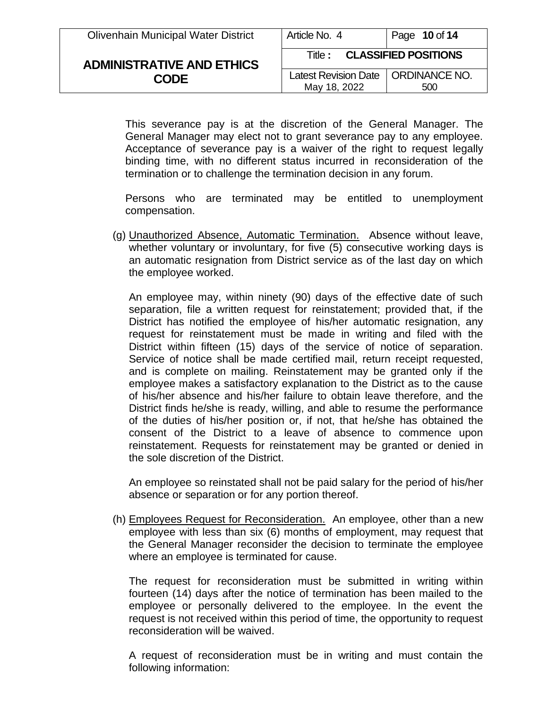| <b>Olivenhain Municipal Water District</b> | Article No. 4                                        | Page 10 of 14 |
|--------------------------------------------|------------------------------------------------------|---------------|
| <b>ADMINISTRATIVE AND ETHICS</b>           | <b>CLASSIFIED POSITIONS</b><br>Title :               |               |
| <b>CODE</b>                                | Latest Revision Date   ORDINANCE NO.<br>May 18, 2022 | 500           |

This severance pay is at the discretion of the General Manager. The General Manager may elect not to grant severance pay to any employee. Acceptance of severance pay is a waiver of the right to request legally binding time, with no different status incurred in reconsideration of the termination or to challenge the termination decision in any forum.

Persons who are terminated may be entitled to unemployment compensation.

(g) Unauthorized Absence, Automatic Termination. Absence without leave, whether voluntary or involuntary, for five (5) consecutive working days is an automatic resignation from District service as of the last day on which the employee worked.

An employee may, within ninety (90) days of the effective date of such separation, file a written request for reinstatement; provided that, if the District has notified the employee of his/her automatic resignation, any request for reinstatement must be made in writing and filed with the District within fifteen (15) days of the service of notice of separation. Service of notice shall be made certified mail, return receipt requested, and is complete on mailing. Reinstatement may be granted only if the employee makes a satisfactory explanation to the District as to the cause of his/her absence and his/her failure to obtain leave therefore, and the District finds he/she is ready, willing, and able to resume the performance of the duties of his/her position or, if not, that he/she has obtained the consent of the District to a leave of absence to commence upon reinstatement. Requests for reinstatement may be granted or denied in the sole discretion of the District.

An employee so reinstated shall not be paid salary for the period of his/her absence or separation or for any portion thereof.

(h) Employees Request for Reconsideration. An employee, other than a new employee with less than six (6) months of employment, may request that the General Manager reconsider the decision to terminate the employee where an employee is terminated for cause.

The request for reconsideration must be submitted in writing within fourteen (14) days after the notice of termination has been mailed to the employee or personally delivered to the employee. In the event the request is not received within this period of time, the opportunity to request reconsideration will be waived.

A request of reconsideration must be in writing and must contain the following information: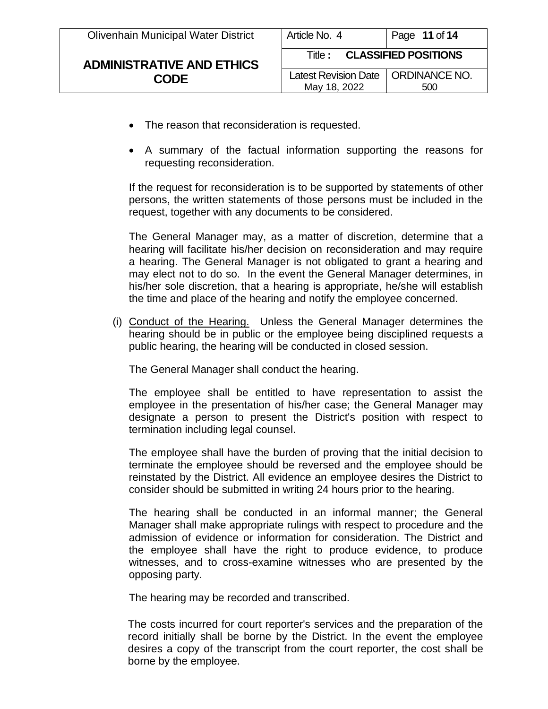| <b>Olivenhain Municipal Water District</b>      | Article No. 4                                        | Page 11 of $14$ |
|-------------------------------------------------|------------------------------------------------------|-----------------|
| <b>ADMINISTRATIVE AND ETHICS</b><br><b>CODE</b> | <b>CLASSIFIED POSITIONS</b><br>Title :               |                 |
|                                                 | Latest Revision Date   ORDINANCE NO.<br>May 18, 2022 | 500             |

- The reason that reconsideration is requested.
- A summary of the factual information supporting the reasons for requesting reconsideration.

If the request for reconsideration is to be supported by statements of other persons, the written statements of those persons must be included in the request, together with any documents to be considered.

The General Manager may, as a matter of discretion, determine that a hearing will facilitate his/her decision on reconsideration and may require a hearing. The General Manager is not obligated to grant a hearing and may elect not to do so. In the event the General Manager determines, in his/her sole discretion, that a hearing is appropriate, he/she will establish the time and place of the hearing and notify the employee concerned.

(i) Conduct of the Hearing. Unless the General Manager determines the hearing should be in public or the employee being disciplined requests a public hearing, the hearing will be conducted in closed session.

The General Manager shall conduct the hearing.

The employee shall be entitled to have representation to assist the employee in the presentation of his/her case; the General Manager may designate a person to present the District's position with respect to termination including legal counsel.

The employee shall have the burden of proving that the initial decision to terminate the employee should be reversed and the employee should be reinstated by the District. All evidence an employee desires the District to consider should be submitted in writing 24 hours prior to the hearing.

The hearing shall be conducted in an informal manner; the General Manager shall make appropriate rulings with respect to procedure and the admission of evidence or information for consideration. The District and the employee shall have the right to produce evidence, to produce witnesses, and to cross-examine witnesses who are presented by the opposing party.

The hearing may be recorded and transcribed.

The costs incurred for court reporter's services and the preparation of the record initially shall be borne by the District. In the event the employee desires a copy of the transcript from the court reporter, the cost shall be borne by the employee.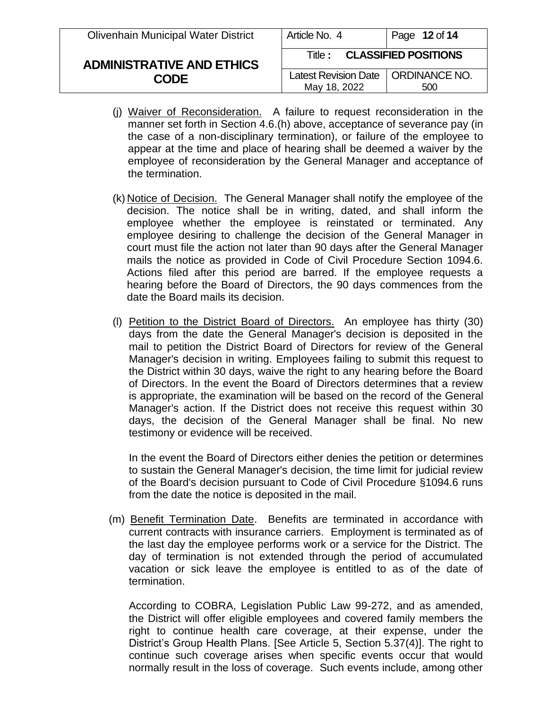| <b>Olivenhain Municipal Water District</b>      | Article No. 4                                        | Page 12 of 14 |
|-------------------------------------------------|------------------------------------------------------|---------------|
| <b>ADMINISTRATIVE AND ETHICS</b><br><b>CODE</b> | <b>CLASSIFIED POSITIONS</b><br>Title :               |               |
|                                                 | Latest Revision Date   ORDINANCE NO.<br>May 18, 2022 | 500           |

- (j) Waiver of Reconsideration. A failure to request reconsideration in the manner set forth in Section 4.6.(h) above, acceptance of severance pay (in the case of a non-disciplinary termination), or failure of the employee to appear at the time and place of hearing shall be deemed a waiver by the employee of reconsideration by the General Manager and acceptance of the termination.
- (k) Notice of Decision. The General Manager shall notify the employee of the decision. The notice shall be in writing, dated, and shall inform the employee whether the employee is reinstated or terminated. Any employee desiring to challenge the decision of the General Manager in court must file the action not later than 90 days after the General Manager mails the notice as provided in Code of Civil Procedure Section 1094.6. Actions filed after this period are barred. If the employee requests a hearing before the Board of Directors, the 90 days commences from the date the Board mails its decision.
- (l) Petition to the District Board of Directors. An employee has thirty (30) days from the date the General Manager's decision is deposited in the mail to petition the District Board of Directors for review of the General Manager's decision in writing. Employees failing to submit this request to the District within 30 days, waive the right to any hearing before the Board of Directors. In the event the Board of Directors determines that a review is appropriate, the examination will be based on the record of the General Manager's action. If the District does not receive this request within 30 days, the decision of the General Manager shall be final. No new testimony or evidence will be received.

In the event the Board of Directors either denies the petition or determines to sustain the General Manager's decision, the time limit for judicial review of the Board's decision pursuant to Code of Civil Procedure §1094.6 runs from the date the notice is deposited in the mail.

(m) Benefit Termination Date. Benefits are terminated in accordance with current contracts with insurance carriers. Employment is terminated as of the last day the employee performs work or a service for the District. The day of termination is not extended through the period of accumulated vacation or sick leave the employee is entitled to as of the date of termination.

According to COBRA, Legislation Public Law 99-272, and as amended, the District will offer eligible employees and covered family members the right to continue health care coverage, at their expense, under the District's Group Health Plans. [See Article 5, Section 5.37(4)]. The right to continue such coverage arises when specific events occur that would normally result in the loss of coverage. Such events include, among other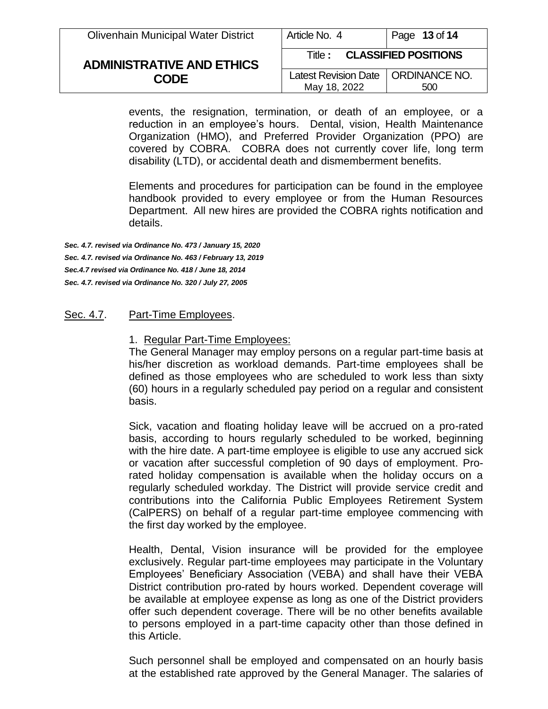| <b>Olivenhain Municipal Water District</b>      | Article No. 4                                        | Page 13 of 14 |
|-------------------------------------------------|------------------------------------------------------|---------------|
| <b>ADMINISTRATIVE AND ETHICS</b><br><b>CODE</b> | <b>CLASSIFIED POSITIONS</b><br>Title :               |               |
|                                                 | Latest Revision Date   ORDINANCE NO.<br>May 18, 2022 | 500           |

events, the resignation, termination, or death of an employee, or a reduction in an employee's hours. Dental, vision, Health Maintenance Organization (HMO), and Preferred Provider Organization (PPO) are covered by COBRA. COBRA does not currently cover life, long term disability (LTD), or accidental death and dismemberment benefits.

Elements and procedures for participation can be found in the employee handbook provided to every employee or from the Human Resources Department. All new hires are provided the COBRA rights notification and details.

*Sec. 4.7. revised via Ordinance No. 473 / January 15, 2020 Sec. 4.7. revised via Ordinance No. 463 / February 13, 2019 Sec.4.7 revised via Ordinance No. 418 / June 18, 2014 Sec. 4.7. revised via Ordinance No. 320 / July 27, 2005*

### Sec. 4.7. Part-Time Employees.

#### 1. Regular Part-Time Employees:

The General Manager may employ persons on a regular part-time basis at his/her discretion as workload demands. Part-time employees shall be defined as those employees who are scheduled to work less than sixty (60) hours in a regularly scheduled pay period on a regular and consistent basis.

Sick, vacation and floating holiday leave will be accrued on a pro-rated basis, according to hours regularly scheduled to be worked, beginning with the hire date. A part-time employee is eligible to use any accrued sick or vacation after successful completion of 90 days of employment. Prorated holiday compensation is available when the holiday occurs on a regularly scheduled workday. The District will provide service credit and contributions into the California Public Employees Retirement System (CalPERS) on behalf of a regular part-time employee commencing with the first day worked by the employee.

Health, Dental, Vision insurance will be provided for the employee exclusively. Regular part-time employees may participate in the Voluntary Employees' Beneficiary Association (VEBA) and shall have their VEBA District contribution pro-rated by hours worked. Dependent coverage will be available at employee expense as long as one of the District providers offer such dependent coverage. There will be no other benefits available to persons employed in a part-time capacity other than those defined in this Article.

Such personnel shall be employed and compensated on an hourly basis at the established rate approved by the General Manager. The salaries of